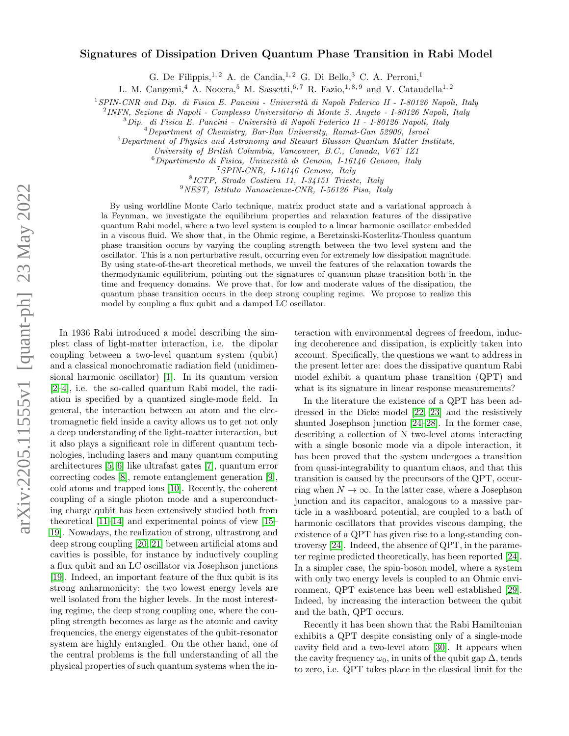## $arXiv:2205.11555v1$  [quant-ph] 23 May 2022 arXiv:2205.11555v1 [quant-ph] 23 May 2022

## Signatures of Dissipation Driven Quantum Phase Transition in Rabi Model

G. De Filippis, <sup>1, 2</sup> A. de Candia, <sup>1, 2</sup> G. Di Bello, <sup>3</sup> C. A. Perroni,<sup>1</sup>

L. M. Cangemi,<sup>4</sup> A. Nocera,<sup>5</sup> M. Sassetti,<sup>6,7</sup> R. Fazio,<sup>1,8,9</sup> and V. Cataudella<sup>1,2</sup>

<sup>1</sup>SPIN-CNR and Dip. di Fisica E. Pancini - Università di Napoli Federico II - I-80126 Napoli, Italy

2 INFN, Sezione di Napoli - Complesso Universitario di Monte S. Angelo - I-80126 Napoli, Italy

 $3$ Dip. di Fisica E. Pancini - Università di Napoli Federico II - I-80126 Napoli, Italy

<sup>4</sup>Department of Chemistry, Bar-Ilan University, Ramat-Gan 52900, Israel

 $5$ Department of Physics and Astronomy and Stewart Blusson Quantum Matter Institute,

University of British Columbia, Vancouver, B.C., Canada, V6T 1Z1

 $6$ Dipartimento di Fisica, Università di Genova, I-16146 Genova, Italy

<sup>7</sup>SPIN-CNR, I-16146 Genova, Italy

8 ICTP, Strada Costiera 11, I-34151 Trieste, Italy

<sup>9</sup>NEST, Istituto Nanoscienze-CNR, I-56126 Pisa, Italy

By using worldline Monte Carlo technique, matrix product state and a variational approach à la Feynman, we investigate the equilibrium properties and relaxation features of the dissipative quantum Rabi model, where a two level system is coupled to a linear harmonic oscillator embedded in a viscous fluid. We show that, in the Ohmic regime, a Beretzinski-Kosterlitz-Thouless quantum phase transition occurs by varying the coupling strength between the two level system and the oscillator. This is a non perturbative result, occurring even for extremely low dissipation magnitude. By using state-of-the-art theoretical methods, we unveil the features of the relaxation towards the thermodynamic equilibrium, pointing out the signatures of quantum phase transition both in the time and frequency domains. We prove that, for low and moderate values of the dissipation, the quantum phase transition occurs in the deep strong coupling regime. We propose to realize this model by coupling a flux qubit and a damped LC oscillator.

In 1936 Rabi introduced a model describing the simplest class of light-matter interaction, i.e. the dipolar coupling between a two-level quantum system (qubit) and a classical monochromatic radiation field (unidimensional harmonic oscillator) [\[1\]](#page-4-0). In its quantum version [\[2–](#page-4-1)[4\]](#page-4-2), i.e. the so-called quantum Rabi model, the radiation is specified by a quantized single-mode field. In general, the interaction between an atom and the electromagnetic field inside a cavity allows us to get not only a deep understanding of the light-matter interaction, but it also plays a significant role in different quantum technologies, including lasers and many quantum computing architectures [\[5,](#page-4-3) [6\]](#page-4-4) like ultrafast gates [\[7\]](#page-4-5), quantum error correcting codes [\[8\]](#page-4-6), remote entanglement generation [\[9\]](#page-4-7), cold atoms and trapped ions [\[10\]](#page-4-8). Recently, the coherent coupling of a single photon mode and a superconducting charge qubit has been extensively studied both from theoretical [\[11](#page-4-9)[–14\]](#page-4-10) and experimental points of view [\[15–](#page-4-11) [19\]](#page-4-12). Nowadays, the realization of strong, ultrastrong and deep strong coupling [\[20,](#page-4-13) [21\]](#page-4-14) between artificial atoms and cavities is possible, for instance by inductively coupling a flux qubit and an LC oscillator via Josephson junctions [\[19\]](#page-4-12). Indeed, an important feature of the flux qubit is its strong anharmonicity: the two lowest energy levels are well isolated from the higher levels. In the most interesting regime, the deep strong coupling one, where the coupling strength becomes as large as the atomic and cavity frequencies, the energy eigenstates of the qubit-resonator system are highly entangled. On the other hand, one of the central problems is the full understanding of all the physical properties of such quantum systems when the in-

teraction with environmental degrees of freedom, inducing decoherence and dissipation, is explicitly taken into account. Specifically, the questions we want to address in the present letter are: does the dissipative quantum Rabi model exhibit a quantum phase transition (QPT) and what is its signature in linear response measurements?

In the literature the existence of a QPT has been addressed in the Dicke model [\[22,](#page-4-15) [23\]](#page-4-16) and the resistively shunted Josephson junction [\[24–](#page-4-17)[28\]](#page-4-18). In the former case, describing a collection of N two-level atoms interacting with a single bosonic mode via a dipole interaction, it has been proved that the system undergoes a transition from quasi-integrability to quantum chaos, and that this transition is caused by the precursors of the QPT, occurring when  $N \to \infty$ . In the latter case, where a Josephson junction and its capacitor, analogous to a massive particle in a washboard potential, are coupled to a bath of harmonic oscillators that provides viscous damping, the existence of a QPT has given rise to a long-standing controversy [\[24\]](#page-4-17). Indeed, the absence of QPT, in the parameter regime predicted theoretically, has been reported [\[24\]](#page-4-17). In a simpler case, the spin-boson model, where a system with only two energy levels is coupled to an Ohmic environment, QPT existence has been well established [\[29\]](#page-4-19). Indeed, by increasing the interaction between the qubit and the bath, QPT occurs.

Recently it has been shown that the Rabi Hamiltonian exhibits a QPT despite consisting only of a single-mode cavity field and a two-level atom [\[30\]](#page-4-20). It appears when the cavity frequency  $\omega_0$ , in units of the qubit gap  $\Delta$ , tends to zero, i.e. QPT takes place in the classical limit for the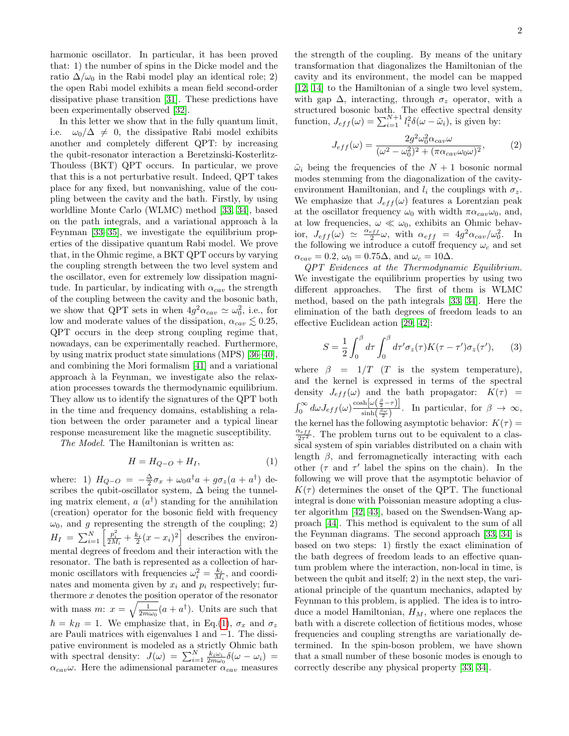harmonic oscillator. In particular, it has been proved that: 1) the number of spins in the Dicke model and the ratio  $\Delta/\omega_0$  in the Rabi model play an identical role; 2) the open Rabi model exhibits a mean field second-order dissipative phase transition [\[31\]](#page-4-21). These predictions have been experimentally observed [\[32\]](#page-4-22).

In this letter we show that in the fully quantum limit, i.e.  $\omega_0/\Delta \neq 0$ , the dissipative Rabi model exhibits another and completely different QPT: by increasing the qubit-resonator interaction a Beretzinski-Kosterlitz-Thouless (BKT) QPT occurs. In particular, we prove that this is a not perturbative result. Indeed, QPT takes place for any fixed, but nonvanishing, value of the coupling between the cavity and the bath. Firstly, by using worldline Monte Carlo (WLMC) method [\[33,](#page-5-0) [34\]](#page-5-1), based on the path integrals, and a variational approach à la Feynman [\[33–](#page-5-0)[35\]](#page-5-2), we investigate the equilibrium properties of the dissipative quantum Rabi model. We prove that, in the Ohmic regime, a BKT QPT occurs by varying the coupling strength between the two level system and the oscillator, even for extremely low dissipation magnitude. In particular, by indicating with  $\alpha_{cav}$  the strength of the coupling between the cavity and the bosonic bath, we show that QPT sets in when  $4g^2 \alpha_{cav} \simeq \omega_0^2$ , i.e., for low and moderate values of the dissipation,  $\alpha_{cav} \lesssim 0.25$ , QPT occurs in the deep strong coupling regime that, nowadays, can be experimentally reached. Furthermore, by using matrix product state simulations (MPS) [\[36–](#page-5-3)[40\]](#page-5-4), and combining the Mori formalism [\[41\]](#page-5-5) and a variational approach à la Feynman, we investigate also the relaxation processes towards the thermodynamic equilibrium. They allow us to identify the signatures of the QPT both in the time and frequency domains, establishing a relation between the order parameter and a typical linear response measurement like the magnetic susceptibility.

The Model. The Hamiltonian is written as:

$$
H = H_{Q-O} + H_I,\tag{1}
$$

where: 1)  $H_{Q-O} = -\frac{\Delta}{2}\sigma_x + \omega_0 a^{\dagger}a + g\sigma_z(a + a^{\dagger})$  describes the qubit-oscillator system,  $\Delta$  being the tunneling matrix element,  $a(a^{\dagger})$  standing for the annihilation (creation) operator for the bosonic field with frequency  $\omega_0$ , and g representing the strength of the coupling; 2)  $H_I = \sum_{i=1}^{N} \left[ \frac{p_i^2}{2M_i} + \frac{k_i}{2}(x - x_i)^2 \right]$  describes the environmental degrees of freedom and their interaction with the resonator. The bath is represented as a collection of harmonic oscillators with frequencies  $\omega_i^2 = \frac{k_i}{M_i}$ , and coordinates and momenta given by  $x_i$  and  $p_i$  respectively; furthermore  $x$  denotes the position operator of the resonator with mass m:  $x = \sqrt{\frac{1}{2m\omega_0}}(a + a^{\dagger})$ . Units are such that  $\hbar = k_B = 1$ . We emphasize that, in Eq.[\(1\)](#page-1-0),  $\sigma_x$  and  $\sigma_z$ are Pauli matrices with eigenvalues 1 and −1. The dissipative environment is modeled as a strictly Ohmic bath with spectral density:  $J(\omega) = \sum_{i=1}^{N} \frac{k_i \omega_i}{2m \omega_0} \delta(\omega - \omega_i) =$  $\alpha_{cav}\omega$ . Here the adimensional parameter  $\alpha_{cav}$  measures

the strength of the coupling. By means of the unitary transformation that diagonalizes the Hamiltonian of the cavity and its environment, the model can be mapped [\[12,](#page-4-23) [14\]](#page-4-10) to the Hamiltonian of a single two level system, with gap  $\Delta$ , interacting, through  $\sigma_z$  operator, with a structured bosonic bath. The effective spectral density function,  $J_{eff}(\omega) = \sum_{i=1}^{N+1} l_i^2 \delta(\omega - \tilde{\omega}_i)$ , is given by:

<span id="page-1-1"></span>
$$
J_{eff}(\omega) = \frac{2g^2 \omega_0^2 \alpha_{cav} \omega}{(\omega^2 - \omega_0^2)^2 + (\pi \alpha_{cav} \omega_0 \omega)^2},
$$
 (2)

 $\tilde{\omega}_i$  being the frequencies of the  $N+1$  bosonic normal modes stemming from the diagonalization of the cavityenvironment Hamiltonian, and  $l_i$  the couplings with  $\sigma_z$ . We emphasize that  $J_{eff}(\omega)$  features a Lorentzian peak at the oscillator frequency  $\omega_0$  with width  $\pi \alpha_{cav} \omega_0$ , and, at low frequencies,  $\omega \ll \omega_0$ , exhibits an Ohmic behavior,  $J_{eff}(\omega) \simeq \frac{\alpha_{eff}}{2}\omega$ , with  $\alpha_{eff} = 4g^2 \alpha_{cav}/\omega_0^2$ . In the following we introduce a cutoff frequency  $\omega_c$  and set  $\alpha_{cav} = 0.2, \omega_0 = 0.75\Delta$ , and  $\omega_c = 10\Delta$ .

QPT Evidences at the Thermodynamic Equilibrium. We investigate the equilibrium properties by using two different approaches. The first of them is WLMC method, based on the path integrals [\[33,](#page-5-0) [34\]](#page-5-1). Here the elimination of the bath degrees of freedom leads to an effective Euclidean action [\[29,](#page-4-19) [42\]](#page-5-6):

$$
S = \frac{1}{2} \int_0^\beta d\tau \int_0^\beta d\tau' \sigma_z(\tau) K(\tau - \tau') \sigma_z(\tau'), \qquad (3)
$$

<span id="page-1-0"></span>where  $\beta = 1/T$  (T is the system temperature), and the kernel is expressed in terms of the spectral density  $J_{eff}(\omega)$  and the bath propagator:  $K(\tau)$  =  $\int_0^\infty d\omega J_{eff}(\omega) \frac{\cosh[\omega(\frac{\beta}{2}-\tau)]}{\sinh(\frac{\beta\omega}{2})}$  $\frac{\sin[\omega(\frac{\beta\omega}{2})]}{\sinh(\frac{\beta\omega}{2})}$ . In particular, for  $\beta \to \infty$ , the kernel has the following asymptotic behavior:  $K(\tau) =$  $\frac{\alpha_{eff}}{2\tau^2}$ . The problem turns out to be equivalent to a classical system of spin variables distributed on a chain with length  $\beta$ , and ferromagnetically interacting with each other  $(\tau \text{ and } \tau' \text{ label the spins on the chain})$ . In the following we will prove that the asymptotic behavior of  $K(\tau)$  determines the onset of the QPT. The functional integral is done with Poissonian measure adopting a cluster algorithm [\[42,](#page-5-6) [43\]](#page-5-7), based on the Swendsen-Wang approach [\[44\]](#page-5-8). This method is equivalent to the sum of all the Feynman diagrams. The second approach [\[33,](#page-5-0) [34\]](#page-5-1) is based on two steps: 1) firstly the exact elimination of the bath degrees of freedom leads to an effective quantum problem where the interaction, non-local in time, is between the qubit and itself; 2) in the next step, the variational principle of the quantum mechanics, adapted by Feynman to this problem, is applied. The idea is to introduce a model Hamiltonian,  $H_M$ , where one replaces the bath with a discrete collection of fictitious modes, whose frequencies and coupling strengths are variationally determined. In the spin-boson problem, we have shown that a small number of these bosonic modes is enough to correctly describe any physical property [\[33,](#page-5-0) [34\]](#page-5-1).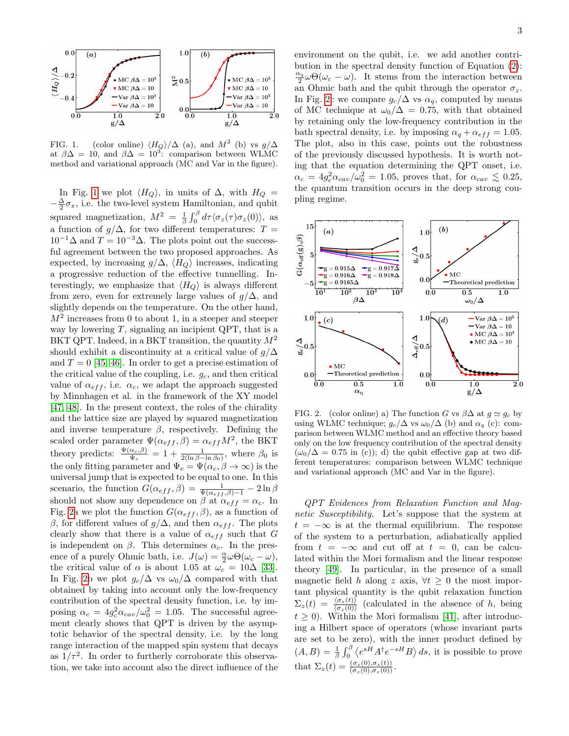

<span id="page-2-0"></span>FIG. 1. (color online)  $\langle H_Q \rangle / \Delta$  (a), and  $M^2$  (b) vs  $g/\Delta$ at  $\beta \Delta = 10$ , and  $\beta \Delta = 10^3$ : comparison between WLMC method and variational approach (MC and Var in the figure).

In Fig. [1](#page-2-0) we plot  $\langle H_Q \rangle$ , in units of  $\Delta$ , with  $H_Q =$  $-\frac{\Delta}{2}\sigma_x$ , i.e. the two-level system Hamiltonian, and qubit squared magnetization,  $M^2 = \frac{1}{\beta} \int_0^\beta d\tau \langle \sigma_z(\tau) \sigma_z(0) \rangle$ , as a function of  $g/\Delta$ , for two different temperatures:  $T =$  $10^{-1}\Delta$  and  $T = 10^{-3}\Delta$ . The plots point out the successful agreement between the two proposed approaches. As expected, by increasing  $g/\Delta$ ,  $\langle H_Q \rangle$  increases, indicating a progressive reduction of the effective tunnelling. Interestingly, we emphasize that  $\langle H_Q \rangle$  is always different from zero, even for extremely large values of  $g/\Delta$ , and slightly depends on the temperature. On the other hand,  $M<sup>2</sup>$  increases from 0 to about 1, in a steeper and steeper way by lowering  $T$ , signaling an incipient QPT, that is a BKT QPT. Indeed, in a BKT transition, the quantity  $M^2$ should exhibit a discontinuity at a critical value of  $g/\Delta$ and  $T = 0$  [\[45,](#page-5-9) [46\]](#page-5-10). In order to get a precise estimation of the critical value of the coupling, i.e.  $g_c$ , and then critical value of  $\alpha_{eff}$ , i.e.  $\alpha_c$ , we adapt the approach suggested by Minnhagen et al. in the framework of the XY model [\[47,](#page-5-11) [48\]](#page-5-12). In the present context, the roles of the chirality and the lattice size are played by squared magnetization and inverse temperature  $\beta$ , respectively. Defining the scaled order parameter  $\Psi(\alpha_{eff}, \beta) = \alpha_{eff} M^2$ , the BKT theory predicts:  $\frac{\Psi(\alpha_c,\beta)}{\Psi_c} = 1 + \frac{1}{2(\ln \beta - \ln \beta_0)}$ , where  $\beta_0$  is the only fitting parameter and  $\Psi_c = \Psi(\alpha_c, \beta \to \infty)$  is the universal jump that is expected to be equal to one. In this scenario, the function  $G(\alpha_{eff}, \beta) = \frac{1}{\Psi(\alpha_{eff}, \beta) - 1} - 2 \ln \beta$ should not show any dependence on  $\beta$  at  $\alpha_{eff} = \alpha_c$ . In Fig. [2a](#page-2-1) we plot the function  $G(\alpha_{eff}, \beta)$ , as a function of β, for different values of  $g/\Delta$ , and then  $\alpha_{eff}$ . The plots clearly show that there is a value of  $\alpha_{eff}$  such that G is independent on  $\beta$ . This determines  $\alpha_c$ . In the presence of a purely Ohmic bath, i.e.  $J(\omega) = \frac{\alpha}{2} \omega \Theta(\omega_c - \omega)$ , the critical value of  $\alpha$  is about 1.05 at  $\omega_c = 10\Delta$  [\[33\]](#page-5-0). In Fig. [2b](#page-2-1) we plot  $g_c/\Delta$  vs  $\omega_0/\Delta$  compared with that obtained by taking into account only the low-frequency contribution of the spectral density function, i.e. by imposing  $\alpha_c = 4g_c^2 \alpha_{cav}/\omega_0^2 = 1.05$ . The successful agreement clearly shows that QPT is driven by the asymptotic behavior of the spectral density, i.e. by the long range interaction of the mapped spin system that decays as  $1/\tau^2$ . In order to furtherly corroborate this observation, we take into account also the direct influence of the environment on the qubit, i.e. we add another contribution in the spectral density function of Equation [\(2\)](#page-1-1):  $\frac{\alpha_q}{2}\omega\Theta(\omega_c-\omega)$ . It stems from the interaction between an Ohmic bath and the qubit through the operator  $\sigma_z$ . In Fig. [2c](#page-2-1) we compare  $g_c/\Delta$  vs  $\alpha_q$ , computed by means of MC technique at  $\omega_0/\Delta = 0.75$ , with that obtained by retaining only the low-frequency contribution in the bath spectral density, i.e. by imposing  $\alpha_q + \alpha_{eff} = 1.05$ . The plot, also in this case, points out the robustness of the previously discussed hypothesis. It is worth noting that the equation determining the QPT onset, i.e.  $\alpha_c = 4g_c^2 \alpha_{cav}/\omega_0^2 = 1.05$ , proves that, for  $\alpha_{cav} \lesssim 0.25$ , the quantum transition occurs in the deep strong coupling regime.



<span id="page-2-1"></span>FIG. 2. (color online) a) The function G vs  $\beta \Delta$  at  $g \simeq g_c$  by using WLMC technique;  $g_c/\Delta$  vs  $\omega_0/\Delta$  (b) and  $\alpha_q$  (c): comparison between WLMC method and an effective theory based only on the low frequency contribution of the spectral density  $(\omega_0/\Delta = 0.75$  in (c)); d) the qubit effective gap at two different temperatures: comparison between WLMC technique and variational approach (MC and Var in the figure).

QPT Evidences from Relaxation Function and Magnetic Susceptibility. Let's suppose that the system at  $t = -\infty$  is at the thermal equilibrium. The response of the system to a perturbation, adiabatically applied from  $t = -\infty$  and cut off at  $t = 0$ , can be calculated within the Mori formalism and the linear response theory [\[49\]](#page-5-13). In particular, in the presence of a small magnetic field h along z axis,  $\forall t \geq 0$  the most important physical quantity is the qubit relaxation function  $\Sigma_z(t) = \frac{\langle \sigma_z(t) \rangle}{\langle \sigma_z(0) \rangle}$  (calculated in the absence of h, being  $t \geq 0$ ). Within the Mori formalism [\[41\]](#page-5-5), after introducing a Hilbert space of operators (whose invariant parts are set to be zero), with the inner product defined by  $(A, B) = \frac{1}{\beta} \int_0^{\beta} \langle e^{sH} A^{\dagger} e^{-sH} B \rangle ds$ , it is possible to prove that  $\Sigma_z(t) = \frac{(\sigma_z(0), \sigma_z(t))}{(\sigma_z(0), \sigma_z(0))}$ .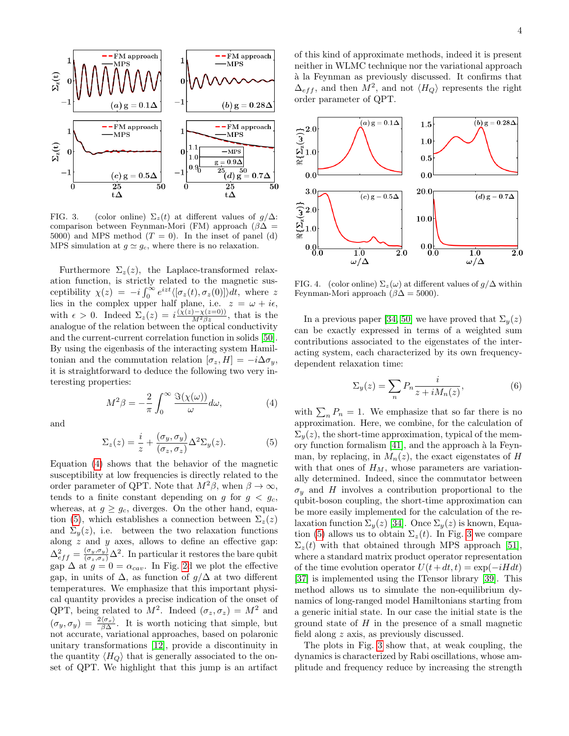

<span id="page-3-2"></span>FIG. 3. (color online)  $\Sigma_z(t)$  at different values of  $g/\Delta$ : comparison between Feynman-Mori (FM) approach ( $\beta\Delta$  = 5000) and MPS method  $(T = 0)$ . In the inset of panel (d) MPS simulation at  $g \simeq g_c$ , where there is no relaxation.

Furthermore  $\Sigma_z(z)$ , the Laplace-transformed relaxation function, is strictly related to the magnetic susceptibility  $\chi(z) = -i \int_0^\infty e^{izt} \langle [\sigma_z(t), \sigma_z(0)] \rangle dt$ , where z lies in the complex upper half plane, i.e.  $z = \omega + i\epsilon$ , with  $\epsilon > 0$ . Indeed  $\Sigma_z(z) = i \frac{(\chi(z) - \chi(z=0))}{M^2 \beta z}$ , that is the analogue of the relation between the optical conductivity and the current-current correlation function in solids [\[50\]](#page-5-14). By using the eigenbasis of the interacting system Hamiltonian and the commutation relation  $[\sigma_z, H] = -i\Delta\sigma_y$ , it is straightforward to deduce the following two very interesting properties:

> <span id="page-3-0"></span> $M^2\beta = -\frac{2}{\epsilon}$ π  $\int^{\infty}$ 0  $\Im(\chi(\omega))$  $\frac{\partial(u)}{\partial \omega}d\omega,$  (4)

and

<span id="page-3-1"></span>
$$
\Sigma_z(z) = \frac{i}{z} + \frac{(\sigma_y, \sigma_y)}{(\sigma_z, \sigma_z)} \Delta^2 \Sigma_y(z).
$$
 (5)

Equation [\(4\)](#page-3-0) shows that the behavior of the magnetic susceptibility at low frequencies is directly related to the order parameter of QPT. Note that  $M^2\beta$ , when  $\beta \to \infty$ , tends to a finite constant depending on g for  $g < g_c$ , whereas, at  $g \ge g_c$ , diverges. On the other hand, equa-tion [\(5\)](#page-3-1), which establishes a connection between  $\Sigma_z(z)$ and  $\Sigma_{y}(z)$ , i.e. between the two relaxation functions along  $z$  and  $y$  axes, allows to define an effective gap:  $\Delta^2_{eff} = \frac{(\sigma_y, \sigma_y)}{(\sigma_z, \sigma_z)} \Delta^2$ . In particular it restores the bare qubit gap  $\Delta$  at  $g = 0 = \alpha_{cav}$ . In Fig. [2d](#page-2-1) we plot the effective gap, in units of  $\Delta$ , as function of  $g/\Delta$  at two different temperatures. We emphasize that this important physical quantity provides a precise indication of the onset of QPT, being related to  $M^2$ . Indeed  $(\sigma_z, \sigma_z) = M^2$  and  $(\sigma_y, \sigma_y) = \frac{2 \langle \sigma_x \rangle}{\beta \Delta}$ . It is worth noticing that simple, but not accurate, variational approaches, based on polaronic unitary transformations [\[12\]](#page-4-23), provide a discontinuity in the quantity  $\langle H_Q \rangle$  that is generally associated to the onset of QPT. We highlight that this jump is an artifact

of this kind of approximate methods, indeed it is present neither in WLMC technique nor the variational approach `a la Feynman as previously discussed. It confirms that  $\Delta_{eff}$ , and then  $M^2$ , and not  $\langle H_Q \rangle$  represents the right order parameter of QPT.



FIG. 4. (color online)  $\Sigma_z(\omega)$  at different values of  $g/\Delta$  within Feynman-Mori approach ( $\beta\Delta = 5000$ ).

In a previous paper [\[34,](#page-5-1) [50\]](#page-5-14) we have proved that  $\Sigma_u(z)$ can be exactly expressed in terms of a weighted sum contributions associated to the eigenstates of the interacting system, each characterized by its own frequencydependent relaxation time:

$$
\Sigma_y(z) = \sum_n P_n \frac{i}{z + iM_n(z)},\tag{6}
$$

with  $\sum_{n} P_n = 1$ . We emphasize that so far there is no approximation. Here, we combine, for the calculation of  $\Sigma_{\nu}(z)$ , the short-time approximation, typical of the memory function formalism  $[41]$ , and the approach à la Feynman, by replacing, in  $M_n(z)$ , the exact eigenstates of H with that ones of  $H_M$ , whose parameters are variationally determined. Indeed, since the commutator between  $\sigma_y$  and H involves a contribution proportional to the qubit-boson coupling, the short-time approximation can be more easily implemented for the calculation of the relaxation function  $\Sigma_{y}(z)$  [\[34\]](#page-5-1). Once  $\Sigma_{y}(z)$  is known, Equa-tion [\(5\)](#page-3-1) allows us to obtain  $\Sigma_z(t)$ . In Fig. [3](#page-3-2) we compare  $\Sigma_z(t)$  with that obtained through MPS approach [\[51\]](#page-5-15), where a standard matrix product operator representation of the time evolution operator  $U(t + dt, t) = \exp(-iH dt)$ [\[37\]](#page-5-16) is implemented using the ITensor library [\[39\]](#page-5-17). This method allows us to simulate the non-equilibrium dynamics of long-ranged model Hamiltonians starting from a generic initial state. In our case the initial state is the ground state of  $H$  in the presence of a small magnetic field along z axis, as previously discussed.

The plots in Fig. [3](#page-3-2) show that, at weak coupling, the dynamics is characterized by Rabi oscillations, whose amplitude and frequency reduce by increasing the strength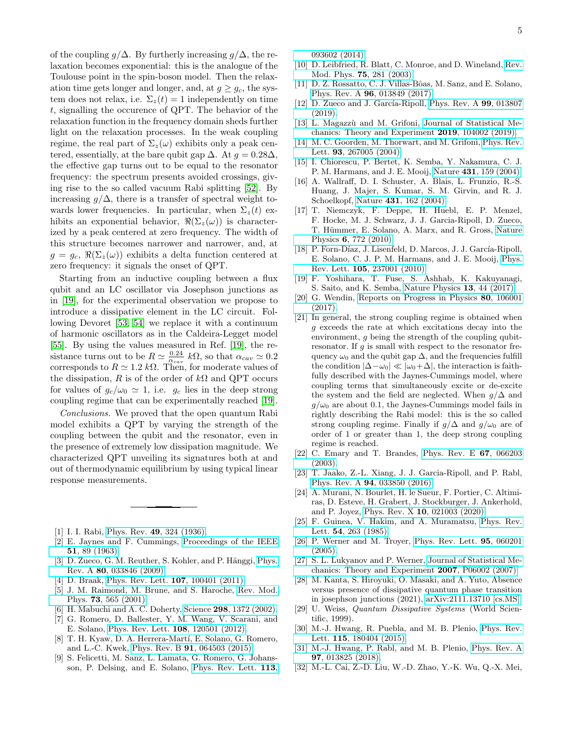of the coupling  $g/\Delta$ . By furtherly increasing  $g/\Delta$ , the relaxation becomes exponential: this is the analogue of the Toulouse point in the spin-boson model. Then the relaxation time gets longer and longer, and, at  $g \geq g_c$ , the system does not relax, i.e.  $\Sigma_z(t) = 1$  independently on time t, signalling the occurence of QPT. The behavior of the relaxation function in the frequency domain sheds further light on the relaxation processes. In the weak coupling regime, the real part of  $\Sigma_z(\omega)$  exhibits only a peak centered, essentially, at the bare qubit gap  $\Delta$ . At  $q = 0.28\Delta$ , the effective gap turns out to be equal to the resonator frequency: the spectrum presents avoided crossings, giving rise to the so called vacuum Rabi splitting [\[52\]](#page-5-18). By increasing  $q/\Delta$ , there is a transfer of spectral weight towards lower frequencies. In particular, when  $\Sigma_z(t)$  exhibits an exponential behavior,  $\Re(\Sigma_z(\omega))$  is characterized by a peak centered at zero frequency. The width of this structure becomes narrower and narrower, and, at  $g = g_c$ ,  $\Re(\Sigma_z(\omega))$  exhibits a delta function centered at zero frequency: it signals the onset of QPT.

Starting from an inductive coupling between a flux qubit and an LC oscillator via Josephson junctions as in [\[19\]](#page-4-12), for the experimental observation we propose to introduce a dissipative element in the LC circuit. Following Devoret [\[53,](#page-5-19) [54\]](#page-5-20) we replace it with a continuum of harmonic oscillators as in the Caldeira-Legget model [\[55\]](#page-5-21). By using the values measured in Ref. [\[19\]](#page-4-12), the resistance turns out to be  $R \simeq \frac{0.24}{\alpha_{cav}} k\Omega$ , so that  $\alpha_{cav} \simeq 0.2$ corresponds to  $R \simeq 1.2 \; k\Omega$ . Then, for moderate values of the dissipation, R is of the order of  $k\Omega$  and QPT occurs for values of  $g_c/\omega_0 \simeq 1$ , i.e.  $g_c$  lies in the deep strong coupling regime that can be experimentally reached [\[19\]](#page-4-12).

Conclusions. We proved that the open quantum Rabi model exhibits a QPT by varying the strength of the coupling between the qubit and the resonator, even in the presence of extremely low dissipation magnitude. We characterized QPT unveiling its signatures both at and out of thermodynamic equilibrium by using typical linear response measurements.

- <span id="page-4-0"></span>[1] I. I. Rabi, Phys. Rev. 49[, 324 \(1936\).](https://doi.org/10.1103/PhysRev.49.324)
- <span id="page-4-1"></span>[2] E. Jaynes and F. Cummings, [Proceedings of the IEEE](https://doi.org/10.1109/PROC.1963.1664) 51[, 89 \(1963\).](https://doi.org/10.1109/PROC.1963.1664)
- [3] D. Zueco, G. M. Reuther, S. Kohler, and P. Hänggi, [Phys.](https://doi.org/10.1103/PhysRevA.80.033846) Rev. A 80[, 033846 \(2009\).](https://doi.org/10.1103/PhysRevA.80.033846)
- <span id="page-4-2"></span>[4] D. Braak, [Phys. Rev. Lett.](https://doi.org/10.1103/PhysRevLett.107.100401) **107**, 100401 (2011).
- <span id="page-4-3"></span>[5] J. M. Raimond, M. Brune, and S. Haroche, [Rev. Mod.](https://doi.org/10.1103/RevModPhys.73.565) Phys. 73[, 565 \(2001\).](https://doi.org/10.1103/RevModPhys.73.565)
- <span id="page-4-4"></span>[6] H. Mabuchi and A. C. Doherty, Science 298[, 1372 \(2002\).](https://doi.org/10.1126/science.1078446)
- <span id="page-4-5"></span>[7] G. Romero, D. Ballester, Y. M. Wang, V. Scarani, and E. Solano, [Phys. Rev. Lett.](https://doi.org/10.1103/PhysRevLett.108.120501) 108, 120501 (2012).
- <span id="page-4-6"></span>[8] T. H. Kyaw, D. A. Herrera-Martí, E. Solano, G. Romero, and L.-C. Kwek, Phys. Rev. B 91[, 064503 \(2015\).](https://doi.org/10.1103/PhysRevB.91.064503)
- <span id="page-4-7"></span>[9] S. Felicetti, M. Sanz, L. Lamata, G. Romero, G. Johansson, P. Delsing, and E. Solano, [Phys. Rev. Lett.](https://doi.org/10.1103/PhysRevLett.113.093602) 113,

[093602 \(2014\).](https://doi.org/10.1103/PhysRevLett.113.093602)

- <span id="page-4-8"></span>[10] D. Leibfried, R. Blatt, C. Monroe, and D. Wineland, [Rev.](https://doi.org/10.1103/RevModPhys.75.281) Mod. Phys. 75[, 281 \(2003\).](https://doi.org/10.1103/RevModPhys.75.281)
- <span id="page-4-9"></span>[11] D. Z. Rossatto, C. J. Villas-Bôas, M. Sanz, and E. Solano, Phys. Rev. A 96[, 013849 \(2017\).](https://doi.org/10.1103/PhysRevA.96.013849)
- <span id="page-4-23"></span>[12] D. Zueco and J. García-Ripoll, [Phys. Rev. A](https://doi.org/10.1103/PhysRevA.99.013807)  $99, 013807$ [\(2019\).](https://doi.org/10.1103/PhysRevA.99.013807)
- [13] L. Magazzù and M. Grifoni, [Journal of Statistical Me](https://doi.org/10.1088/1742-5468/ab3da8)[chanics: Theory and Experiment](https://doi.org/10.1088/1742-5468/ab3da8) 2019, 104002 (2019).
- <span id="page-4-10"></span>[14] M. C. Goorden, M. Thorwart, and M. Grifoni, [Phys. Rev.](https://doi.org/10.1103/PhysRevLett.93.267005) Lett. 93[, 267005 \(2004\).](https://doi.org/10.1103/PhysRevLett.93.267005)
- <span id="page-4-11"></span>[15] I. Chiorescu, P. Bertet, K. Semba, Y. Nakamura, C. J. P. M. Harmans, and J. E. Mooij, Nature 431[, 159 \(2004\).](https://doi.org/10.1038/nature02831)
- [16] A. Wallraff, D. I. Schuster, A. Blais, L. Frunzio, R.-S. Huang, J. Majer, S. Kumar, S. M. Girvin, and R. J. Schoelkopf, Nature 431[, 162 \(2004\).](https://doi.org/10.1038/nature02851)
- [17] T. Niemczyk, F. Deppe, H. Huebl, E. P. Menzel, F. Hocke, M. J. Schwarz, J. J. Garcia-Ripoll, D. Zueco, T. Hümmer, E. Solano, A. Marx, and R. Gross, [Nature](https://doi.org/10.1038/nphys1730) Physics 6[, 772 \(2010\).](https://doi.org/10.1038/nphys1730)
- [18] P. Forn-Díaz, J. Lisenfeld, D. Marcos, J. J. García-Ripoll, E. Solano, C. J. P. M. Harmans, and J. E. Mooij, [Phys.](https://doi.org/10.1103/PhysRevLett.105.237001) Rev. Lett. 105[, 237001 \(2010\).](https://doi.org/10.1103/PhysRevLett.105.237001)
- <span id="page-4-12"></span>[19] F. Yoshihara, T. Fuse, S. Ashhab, K. Kakuyanagi, S. Saito, and K. Semba, [Nature Physics](https://doi.org/10.1038/nphys3906) 13, 44 (2017).
- <span id="page-4-13"></span>[20] G. Wendin, [Reports on Progress in Physics](https://doi.org/10.1088/1361-6633/aa7e1a) 80, 106001 [\(2017\).](https://doi.org/10.1088/1361-6633/aa7e1a)
- <span id="page-4-14"></span>[21] In general, the strong coupling regime is obtained when g exceeds the rate at which excitations decay into the environment, g being the strength of the coupling qubitresonator. If  $g$  is small with respect to the resonator frequency  $\omega_0$  and the qubit gap  $\Delta$ , and the frequencies fulfill the condition  $|\Delta-\omega_0| \ll |\omega_0+\Delta|$ , the interaction is faithfully described with the Jaynes-Cummings model, where coupling terms that simultaneously excite or de-excite the system and the field are neglected. When  $q/\Delta$  and  $q/\omega_0$  are about 0.1, the Jaynes-Cummings model fails in rightly describing the Rabi model: this is the so called strong coupling regime. Finally if  $g/\Delta$  and  $g/\omega_0$  are of order of 1 or greater than 1, the deep strong coupling regime is reached.
- <span id="page-4-15"></span>[22] C. Emary and T. Brandes, [Phys. Rev. E](https://doi.org/10.1103/PhysRevE.67.066203) 67, 066203 [\(2003\).](https://doi.org/10.1103/PhysRevE.67.066203)
- <span id="page-4-16"></span>[23] T. Jaako, Z.-L. Xiang, J. J. Garcia-Ripoll, and P. Rabl, Phys. Rev. A 94[, 033850 \(2016\).](https://doi.org/10.1103/PhysRevA.94.033850)
- <span id="page-4-17"></span>[24] A. Murani, N. Bourlet, H. le Sueur, F. Portier, C. Altimiras, D. Esteve, H. Grabert, J. Stockburger, J. Ankerhold, and P. Joyez, Phys. Rev. X 10[, 021003 \(2020\).](https://doi.org/10.1103/PhysRevX.10.021003)
- [25] F. Guinea, V. Hakim, and A. Muramatsu, [Phys. Rev.](https://doi.org/10.1103/PhysRevLett.54.263) Lett. 54[, 263 \(1985\).](https://doi.org/10.1103/PhysRevLett.54.263)
- [26] P. Werner and M. Troyer, [Phys. Rev. Lett.](https://doi.org/10.1103/PhysRevLett.95.060201) 95, 060201 [\(2005\).](https://doi.org/10.1103/PhysRevLett.95.060201)
- [27] S. L. Lukyanov and P. Werner, [Journal of Statistical Me](https://doi.org/10.1088/1742-5468/2007/06/p06002)[chanics: Theory and Experiment](https://doi.org/10.1088/1742-5468/2007/06/p06002) 2007, P06002 (2007).
- <span id="page-4-18"></span>[28] M. Kanta, S. Hiroyuki, O. Masaki, and A. Yuto, Absence versus presence of dissipative quantum phase transition in josephson junctions (2021), [arXiv:2111.13710 \[cs.MS\].](https://arxiv.org/abs/2111.13710)
- <span id="page-4-19"></span>[29] U. Weiss, Quantum Dissipative Systems (World Scientific, 1999).
- <span id="page-4-20"></span>[30] M.-J. Hwang, R. Puebla, and M. B. Plenio, [Phys. Rev.](https://doi.org/10.1103/PhysRevLett.115.180404) Lett. 115[, 180404 \(2015\).](https://doi.org/10.1103/PhysRevLett.115.180404)
- <span id="page-4-21"></span>[31] M.-J. Hwang, P. Rabl, and M. B. Plenio, [Phys. Rev. A](https://doi.org/10.1103/PhysRevA.97.013825) 97[, 013825 \(2018\).](https://doi.org/10.1103/PhysRevA.97.013825)
- <span id="page-4-22"></span>[32] M.-L. Cai, Z.-D. Liu, W.-D. Zhao, Y.-K. Wu, Q.-X. Mei,